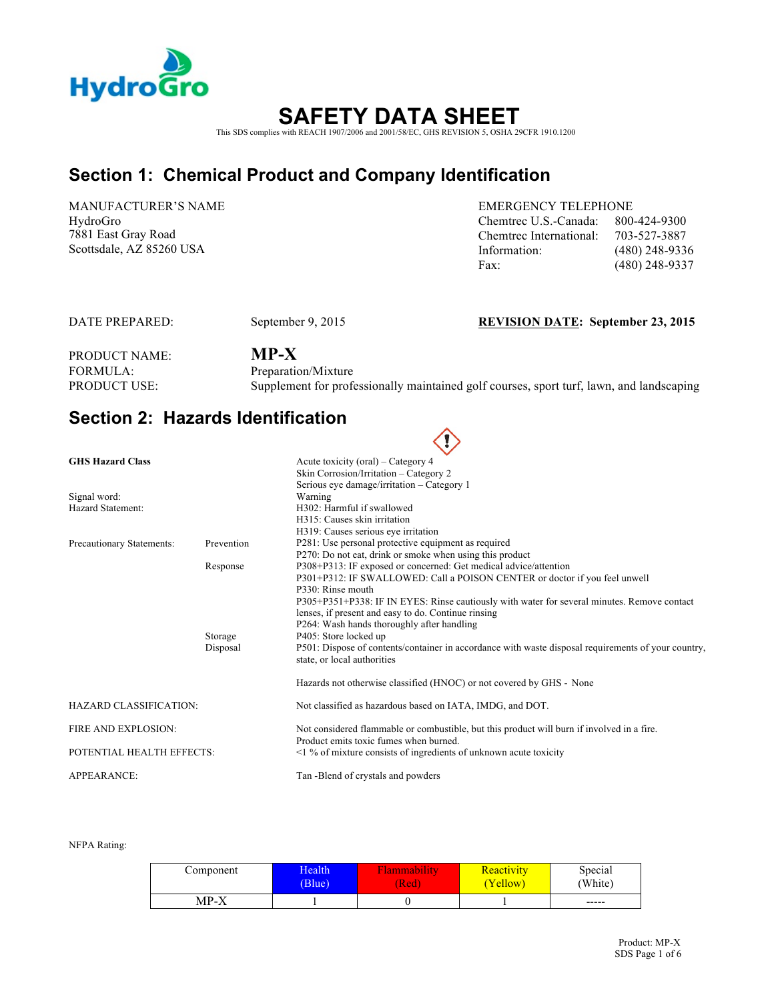

# **SAFETY DATA SHEET**  This SDS complies with REACH 1907/2006 and 2001/58/EC, GHS REVISION 5, OSHA 29CFR 1910.1200

# **Section 1: Chemical Product and Company Identification**

MANUFACTURER'S NAME HydroGro 7881 East Gray Road

EMERGENCY TELEPHONE Chemtrec U.S.-Canada: 800-424-9300 Chemtrec International: 703-527-3887 Scottsdale, AZ 85260 USA Information: (480) 248-9336 Fax: (480) 248-9337

#### DATE PREPARED: September 9, 2015 **REVISION DATE: September 23, 2015**

PRODUCT NAME: **MP-X** FORMULA: Preparation/Mixture<br>PRODUCT USE: Supplement for profe

Supplement for professionally maintained golf courses, sport turf, lawn, and landscaping

∕心

### **Section 2: Hazards Identification**

|                               |            | $\checkmark$                                                                                                                         |
|-------------------------------|------------|--------------------------------------------------------------------------------------------------------------------------------------|
| <b>GHS Hazard Class</b>       |            | Acute toxicity (oral) – Category 4                                                                                                   |
|                               |            | Skin Corrosion/Irritation – Category 2                                                                                               |
|                               |            | Serious eye damage/irritation - Category 1                                                                                           |
| Signal word:                  |            | Warning                                                                                                                              |
| Hazard Statement:             |            | H302: Harmful if swallowed                                                                                                           |
|                               |            | H315: Causes skin irritation                                                                                                         |
|                               |            | H319: Causes serious eye irritation                                                                                                  |
| Precautionary Statements:     | Prevention | P281: Use personal protective equipment as required                                                                                  |
|                               |            | P270: Do not eat, drink or smoke when using this product                                                                             |
|                               | Response   | P308+P313: IF exposed or concerned: Get medical advice/attention                                                                     |
|                               |            | P301+P312: IF SWALLOWED: Call a POISON CENTER or doctor if you feel unwell                                                           |
|                               |            | P330: Rinse mouth                                                                                                                    |
|                               |            | P305+P351+P338: IF IN EYES: Rinse cautiously with water for several minutes. Remove contact                                          |
|                               |            | lenses, if present and easy to do. Continue rinsing                                                                                  |
|                               |            | P264: Wash hands thoroughly after handling                                                                                           |
|                               | Storage    | P405: Store locked up                                                                                                                |
|                               | Disposal   | P501: Dispose of contents/container in accordance with waste disposal requirements of your country,<br>state, or local authorities   |
|                               |            | Hazards not otherwise classified (HNOC) or not covered by GHS - None                                                                 |
| <b>HAZARD CLASSIFICATION:</b> |            | Not classified as hazardous based on IATA, IMDG, and DOT.                                                                            |
| <b>FIRE AND EXPLOSION:</b>    |            | Not considered flammable or combustible, but this product will burn if involved in a fire.<br>Product emits toxic fumes when burned. |
| POTENTIAL HEALTH EFFECTS:     |            | $\leq$ 1 % of mixture consists of ingredients of unknown acute toxicity                                                              |
| APPEARANCE:                   |            | Tan -Blend of crystals and powders                                                                                                   |

#### NFPA Rating:

| Component | Health | <b>A</b> ammability | Reactivity | Special     |
|-----------|--------|---------------------|------------|-------------|
|           | (Blue) | Red)                | 'Yellow    | (White)     |
| MP-X      |        |                     |            | $- - - - -$ |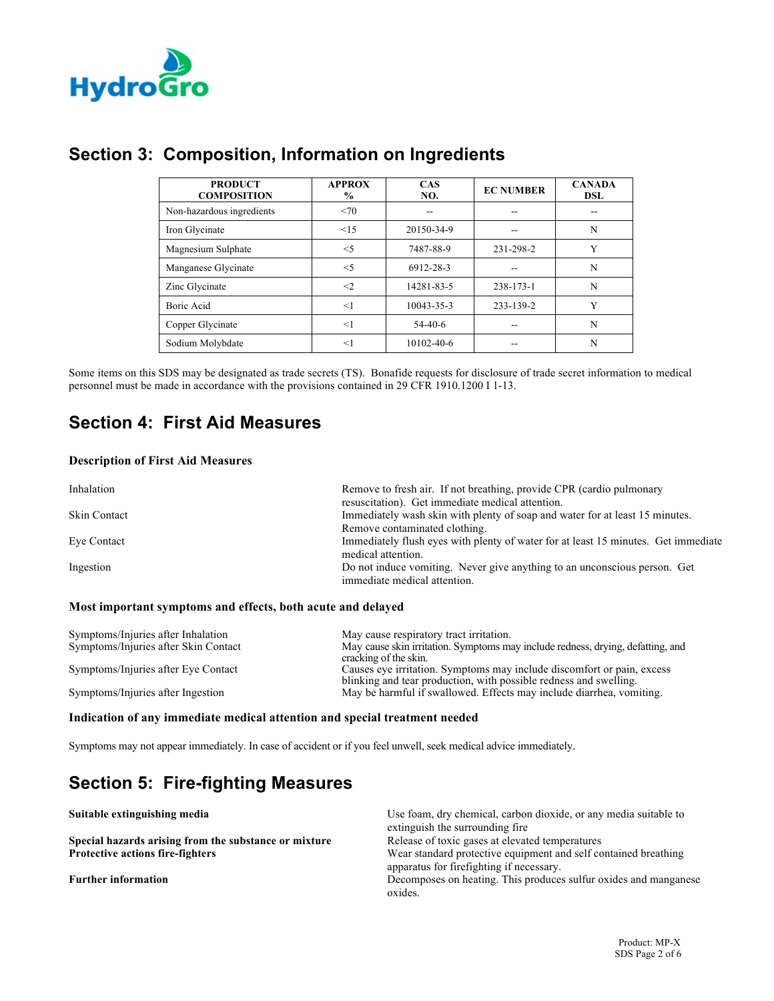

| <b>PRODUCT</b><br><b>COMPOSITION</b> | <b>APPROX</b><br>$\%$ | <b>CAS</b><br>NO. | <b>EC NUMBER</b> | <b>CANADA</b><br><b>DSL</b> |
|--------------------------------------|-----------------------|-------------------|------------------|-----------------------------|
| Non-hazardous ingredients            | <70                   |                   | --               |                             |
| Iron Glycinate                       | $\leq$ 15             | 20150-34-9        | --               | N                           |
| Magnesium Sulphate                   | $<$ 5                 | 7487-88-9         | 231-298-2        | Y                           |
| Manganese Glycinate                  | $<$ 5                 | 6912-28-3         |                  | N                           |
| Zinc Glycinate                       | $\leq$ 2              | 14281-83-5        | 238-173-1        | N                           |
| Boric Acid                           | <1                    | 10043-35-3        | 233-139-2        | Y                           |
| Copper Glycinate                     | <1                    | $54-40-6$         |                  | N                           |
| Sodium Molybdate                     | $<$ 1                 | 10102-40-6        |                  | N                           |

Some items on this SDS may be designated as trade secrets (TS). Bonafide requests for disclosure of trade secret information to medical personnel must be made in accordance with the provisions contained in 29 CFR 1910.1200 I 1-13.

# **Section 4: First Aid Measures**

#### **Description of First Aid Measures**

| Inhalation          | Remove to fresh air. If not breathing, provide CPR (cardio pulmonary<br>resuscitation). Get immediate medical attention. |
|---------------------|--------------------------------------------------------------------------------------------------------------------------|
| <b>Skin Contact</b> | Immediately wash skin with plenty of soap and water for at least 15 minutes.                                             |
|                     | Remove contaminated clothing.                                                                                            |
| Eye Contact         | Immediately flush eyes with plenty of water for at least 15 minutes. Get immediate<br>medical attention.                 |
| Ingestion           | Do not induce vomiting. Never give anything to an unconscious person. Get<br>immediate medical attention.                |

#### **Most important symptoms and effects, both acute and delayed**

| Symptoms/Injuries after Inhalation<br>Symptoms/Injuries after Skin Contact | May cause respiratory tract irritation.<br>May cause skin irritation. Symptoms may include redness, drying, defatting, and<br>cracking of the skin. |
|----------------------------------------------------------------------------|-----------------------------------------------------------------------------------------------------------------------------------------------------|
| Symptoms/Injuries after Eye Contact                                        | Causes eye irritation. Symptoms may include discomfort or pain, excess<br>blinking and tear production, with possible redness and swelling.         |
| Symptoms/Injuries after Ingestion                                          | May be harmful if swallowed. Effects may include diarrhea, vomiting.                                                                                |

#### **Indication of any immediate medical attention and special treatment needed**

Symptoms may not appear immediately. In case of accident or if you feel unwell, seek medical advice immediately.

# **Section 5: Fire-fighting Measures**

| Suitable extinguishing media                          | Use foam, dry chemical, carbon dioxide, or any media suitable to |
|-------------------------------------------------------|------------------------------------------------------------------|
|                                                       | extinguish the surrounding fire                                  |
| Special hazards arising from the substance or mixture | Release of toxic gases at elevated temperatures                  |
| <b>Protective actions fire-fighters</b>               | Wear standard protective equipment and self contained breathing  |
|                                                       | apparatus for firefighting if necessary.                         |
| <b>Further information</b>                            | Decomposes on heating. This produces sulfur oxides and manganese |
|                                                       | oxides.                                                          |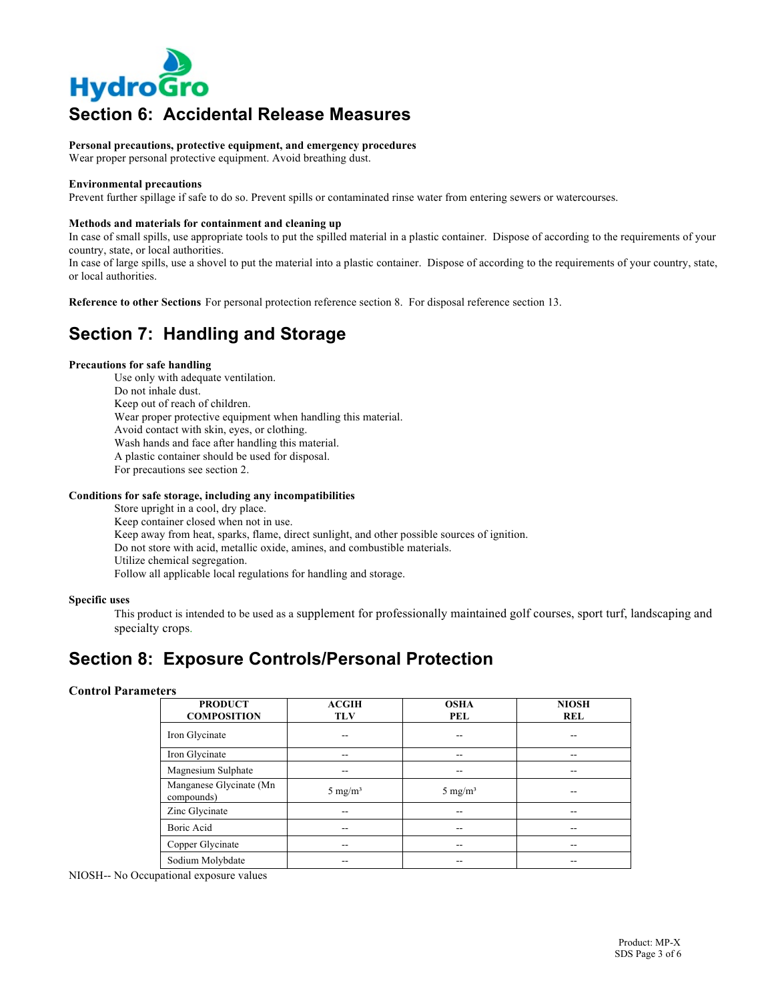

# **Section 6: Accidental Release Measures**

**Personal precautions, protective equipment, and emergency procedures**

Wear proper personal protective equipment. Avoid breathing dust.

#### **Environmental precautions**

Prevent further spillage if safe to do so. Prevent spills or contaminated rinse water from entering sewers or watercourses.

#### **Methods and materials for containment and cleaning up**

In case of small spills, use appropriate tools to put the spilled material in a plastic container. Dispose of according to the requirements of your country, state, or local authorities.

In case of large spills, use a shovel to put the material into a plastic container. Dispose of according to the requirements of your country, state, or local authorities.

**Reference to other Sections** For personal protection reference section 8. For disposal reference section 13.

# **Section 7: Handling and Storage**

#### **Precautions for safe handling**

Use only with adequate ventilation. Do not inhale dust. Keep out of reach of children. Wear proper protective equipment when handling this material. Avoid contact with skin, eyes, or clothing. Wash hands and face after handling this material. A plastic container should be used for disposal. For precautions see section 2.

#### **Conditions for safe storage, including any incompatibilities**

Store upright in a cool, dry place. Keep container closed when not in use. Keep away from heat, sparks, flame, direct sunlight, and other possible sources of ignition. Do not store with acid, metallic oxide, amines, and combustible materials. Utilize chemical segregation. Follow all applicable local regulations for handling and storage.

#### **Specific uses**

This product is intended to be used as a supplement for professionally maintained golf courses, sport turf, landscaping and specialty crops.

### **Section 8: Exposure Controls/Personal Protection**

#### **Control Parameters**

| <b>PRODUCT</b><br><b>COMPOSITION</b>  | <b>ACGIH</b><br><b>TLV</b> | <b>OSHA</b><br><b>PEL</b> | <b>NIOSH</b><br><b>REL</b> |
|---------------------------------------|----------------------------|---------------------------|----------------------------|
| Iron Glycinate                        |                            | --                        | --                         |
| Iron Glycinate                        | --                         | --                        | --                         |
| Magnesium Sulphate                    | --                         | --                        | --                         |
| Manganese Glycinate (Mn<br>compounds) | 5 mg/m <sup>3</sup>        | 5 mg/m <sup>3</sup>       | --                         |
| Zinc Glycinate                        |                            | --                        | --                         |
| Boric Acid                            |                            |                           | --                         |
| Copper Glycinate                      |                            |                           | --                         |
| Sodium Molybdate                      |                            |                           | --                         |

NIOSH-- No Occupational exposure values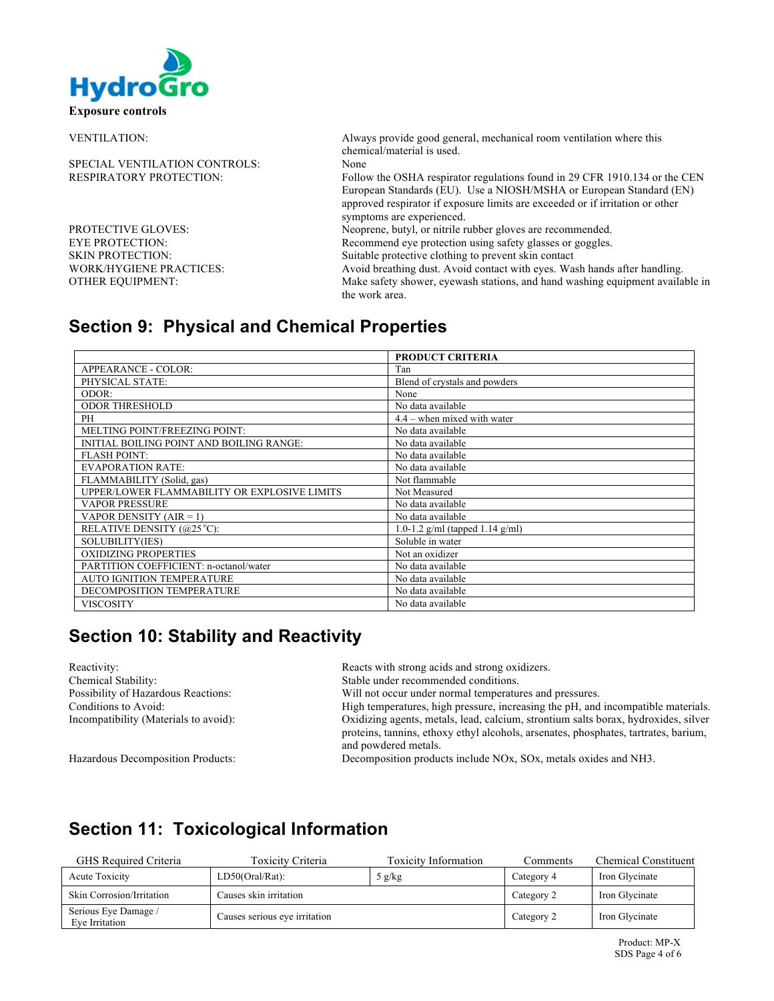

| <b>VENTILATION:</b>                  | Always provide good general, mechanical room ventilation where this<br>chemical/material is used.                                                                                 |
|--------------------------------------|-----------------------------------------------------------------------------------------------------------------------------------------------------------------------------------|
| <b>SPECIAL VENTILATION CONTROLS:</b> | None                                                                                                                                                                              |
| RESPIRATORY PROTECTION:              | Follow the OSHA respirator regulations found in 29 CFR 1910.134 or the CEN                                                                                                        |
|                                      | European Standards (EU). Use a NIOSH/MSHA or European Standard (EN)<br>approved respirator if exposure limits are exceeded or if irritation or other<br>symptoms are experienced. |
| PROTECTIVE GLOVES:                   | Neoprene, butyl, or nitrile rubber gloves are recommended.                                                                                                                        |
| EYE PROTECTION:                      | Recommend eye protection using safety glasses or goggles.                                                                                                                         |
| SKIN PROTECTION:                     | Suitable protective clothing to prevent skin contact                                                                                                                              |
| WORK/HYGIENE PRACTICES:              | Avoid breathing dust. Avoid contact with eyes. Wash hands after handling.                                                                                                         |
| OTHER EOUIPMENT:                     | Make safety shower, eyewash stations, and hand washing equipment available in<br>the work area.                                                                                   |
|                                      |                                                                                                                                                                                   |

# **Section 9: Physical and Chemical Properties**

|                                              | <b>PRODUCT CRITERIA</b>              |
|----------------------------------------------|--------------------------------------|
| APPEARANCE - COLOR:                          | Tan                                  |
| PHYSICAL STATE:                              | Blend of crystals and powders        |
| ODOR:                                        | None                                 |
| <b>ODOR THRESHOLD</b>                        | No data available                    |
| PH                                           | $4.4$ – when mixed with water        |
| MELTING POINT/FREEZING POINT:                | No data available                    |
| INITIAL BOILING POINT AND BOILING RANGE:     | No data available                    |
| <b>FLASH POINT:</b>                          | No data available                    |
| <b>EVAPORATION RATE:</b>                     | No data available                    |
| FLAMMABILITY (Solid, gas)                    | Not flammable                        |
| UPPER/LOWER FLAMMABILITY OR EXPLOSIVE LIMITS | Not Measured                         |
| <b>VAPOR PRESSURE</b>                        | No data available                    |
| VAPOR DENSITY $(AIR = 1)$                    | No data available                    |
| RELATIVE DENSITY (@25 °C):                   | 1.0-1.2 $g/ml$ (tapped 1.14 $g/ml$ ) |
| SOLUBILITY(IES)                              | Soluble in water                     |
| <b>OXIDIZING PROPERTIES</b>                  | Not an oxidizer                      |
| PARTITION COEFFICIENT: n-octanol/water       | No data available                    |
| <b>AUTO IGNITION TEMPERATURE</b>             | No data available                    |
| DECOMPOSITION TEMPERATURE                    | No data available                    |
| <b>VISCOSITY</b>                             | No data available                    |

# **Section 10: Stability and Reactivity**

| Reactivity:                           | Reacts with strong acids and strong oxidizers.                                      |
|---------------------------------------|-------------------------------------------------------------------------------------|
| Chemical Stability:                   | Stable under recommended conditions.                                                |
| Possibility of Hazardous Reactions:   | Will not occur under normal temperatures and pressures.                             |
| Conditions to Avoid:                  | High temperatures, high pressure, increasing the pH, and incompatible materials.    |
| Incompatibility (Materials to avoid): | Oxidizing agents, metals, lead, calcium, strontium salts borax, hydroxides, silver  |
|                                       | proteins, tannins, ethoxy ethyl alcohols, arsenates, phosphates, tartrates, barium, |
|                                       | and powdered metals.                                                                |
| Hazardous Decomposition Products      | Decomposition products include $NQv$ , $SQv$ , metals oxides and $NH3$              |

Hazardous Decomposition Products: Decomposition products include NOx, SOx, metals oxides and NH3.

# **Section 11: Toxicological Information**

| GHS Required Criteria                  | Toxicity Criteria             | <b>Toxicity Information</b> | Comments   | <b>Chemical Constituent</b> |
|----------------------------------------|-------------------------------|-----------------------------|------------|-----------------------------|
| Acute Toxicity                         | $LD50(Oral/Rat)$ :            | 5 g/kg                      | Category 4 | Iron Glycinate              |
| Skin Corrosion/Irritation              | Causes skin irritation        |                             | Category 2 | Iron Glycinate              |
| Serious Eye Damage /<br>Eve Irritation | Causes serious eve irritation |                             | Category 2 | Iron Glycinate              |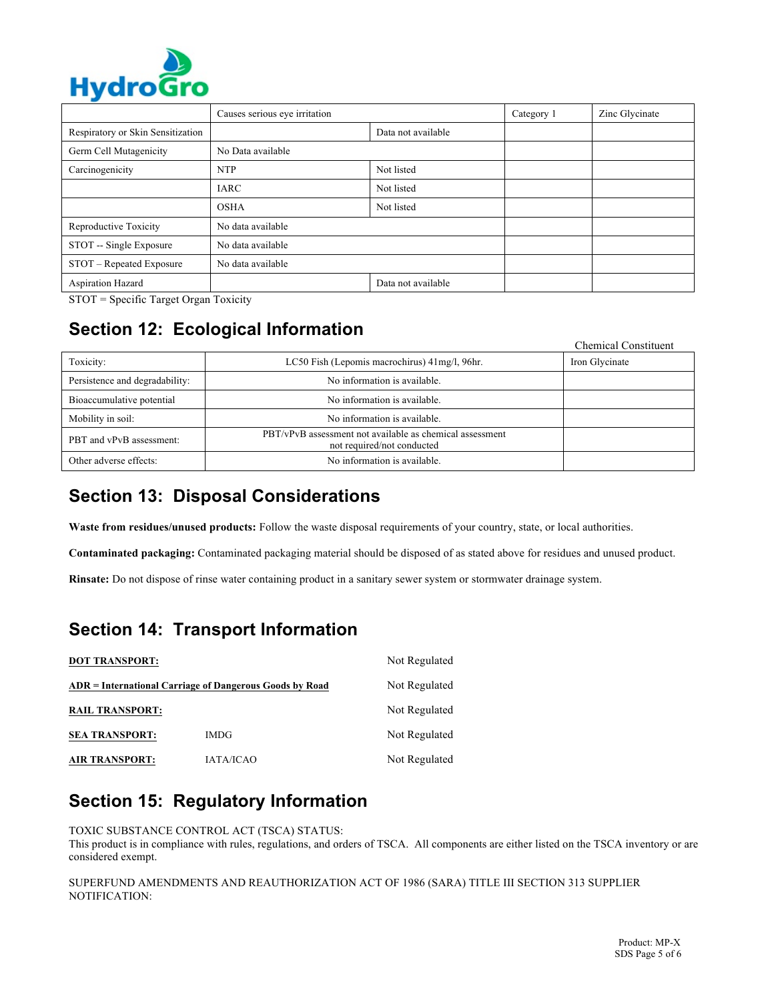

| .                                 |                               |                    |            |                |
|-----------------------------------|-------------------------------|--------------------|------------|----------------|
|                                   | Causes serious eye irritation |                    | Category 1 | Zinc Glycinate |
| Respiratory or Skin Sensitization |                               | Data not available |            |                |
| Germ Cell Mutagenicity            | No Data available             |                    |            |                |
| Carcinogenicity                   | <b>NTP</b>                    | Not listed         |            |                |
|                                   | <b>IARC</b>                   | Not listed         |            |                |
|                                   | <b>OSHA</b>                   | Not listed         |            |                |
| Reproductive Toxicity             | No data available             |                    |            |                |
| STOT -- Single Exposure           | No data available             |                    |            |                |
| STOT - Repeated Exposure          | No data available             |                    |            |                |
| Aspiration Hazard                 |                               | Data not available |            |                |

STOT = Specific Target Organ Toxicity

# **Section 12: Ecological Information**

|                                |                                                                                        | <b>Chemical Constituent</b> |
|--------------------------------|----------------------------------------------------------------------------------------|-----------------------------|
| Toxicity:                      | LC50 Fish (Lepomis macrochirus) 41 mg/l, 96 hr.                                        | Iron Glycinate              |
| Persistence and degradability: | No information is available.                                                           |                             |
| Bioaccumulative potential      | No information is available.                                                           |                             |
| Mobility in soil:              | No information is available.                                                           |                             |
| PBT and vPvB assessment:       | PBT/vPvB assessment not available as chemical assessment<br>not required/not conducted |                             |
| Other adverse effects:         | No information is available.                                                           |                             |

### **Section 13: Disposal Considerations**

**Waste from residues/unused products:** Follow the waste disposal requirements of your country, state, or local authorities.

**Contaminated packaging:** Contaminated packaging material should be disposed of as stated above for residues and unused product.

**Rinsate:** Do not dispose of rinse water containing product in a sanitary sewer system or stormwater drainage system.

# **Section 14: Transport Information**

| <b>DOT TRANSPORT:</b>                                   | Not Regulated    |               |
|---------------------------------------------------------|------------------|---------------|
| ADR = International Carriage of Dangerous Goods by Road |                  | Not Regulated |
| <b>RAIL TRANSPORT:</b>                                  |                  | Not Regulated |
| <b>SEA TRANSPORT:</b>                                   | <b>IMDG</b>      | Not Regulated |
| <b>AIR TRANSPORT:</b>                                   | <b>IATA/ICAO</b> | Not Regulated |

# **Section 15: Regulatory Information**

TOXIC SUBSTANCE CONTROL ACT (TSCA) STATUS:

This product is in compliance with rules, regulations, and orders of TSCA. All components are either listed on the TSCA inventory or are considered exempt.

SUPERFUND AMENDMENTS AND REAUTHORIZATION ACT OF 1986 (SARA) TITLE III SECTION 313 SUPPLIER NOTIFICATION: